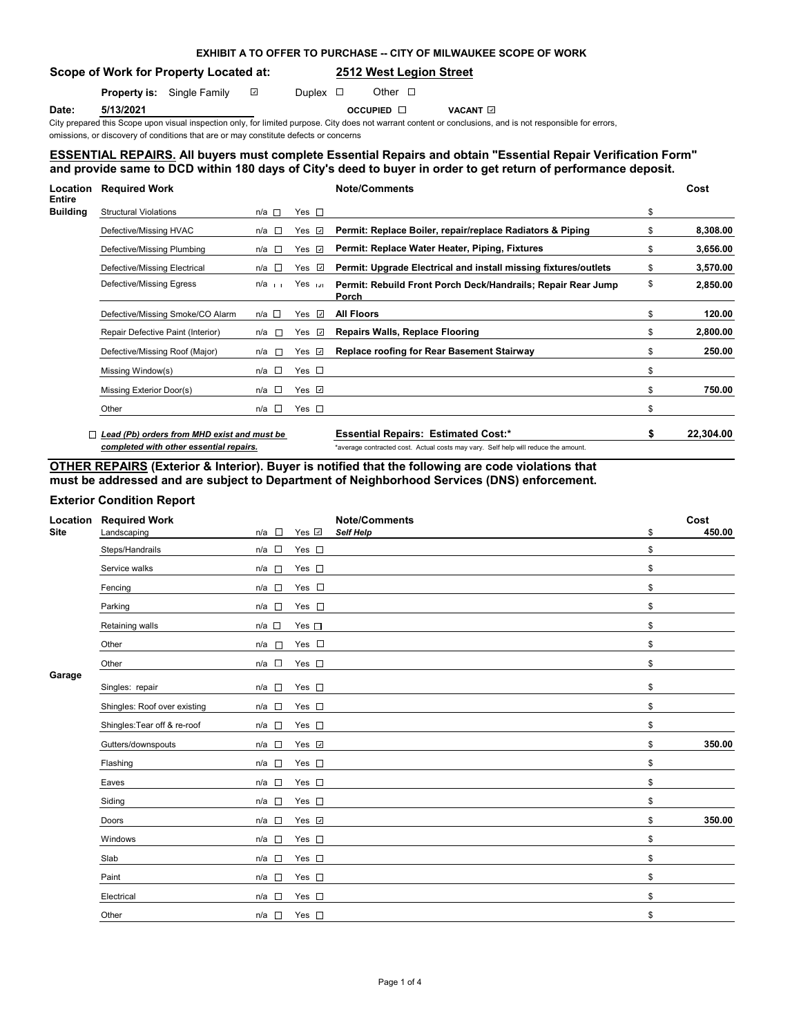# **EXHIBIT A TO OFFER TO PURCHASE -- CITY OF MILWAUKEE SCOPE OF WORK**

**Scope of Work for Property Located at: 2512 West Legion Street**

**Property is:** Single Family  $\Box$  Duplex  $\Box$  Other  $\Box$ 

**Date: 5/13/2021 Date: 5/13/2021 5/13/2021 Date: 5/13/2021 Date: 5/13/2021 Date: 5/13/2021 Date: 5/13/2021 Date: 5/2021 Date: 5/2021 Date: 5/2021 Date: 5/2021 Date: 5/2022 Date: 5/2022 Date: 5/2022 Date: 5/2022 Date: 5/20** 

City prepared this Scope upon visual inspection only, for limited purpose. City does not warrant content or conclusions, and is not responsible for errors, omissions, or discovery of conditions that are or may constitute defects or concerns

# **ESSENTIAL REPAIRS. All buyers must complete Essential Repairs and obtain "Essential Repair Verification Form" and provide same to DCD within 180 days of City's deed to buyer in order to get return of performance deposit.**

| Location<br>Entire | <b>Required Work</b>                        |                |  |                    | <b>Note/Comments</b>                                                               |    | Cost      |
|--------------------|---------------------------------------------|----------------|--|--------------------|------------------------------------------------------------------------------------|----|-----------|
| Building           | <b>Structural Violations</b>                | $n/a$ $\Box$   |  | Yes $\square$      |                                                                                    | \$ |           |
|                    | Defective/Missing HVAC                      | $n/a$ $\Box$   |  | Yes $\Box$         | Permit: Replace Boiler, repair/replace Radiators & Piping                          | \$ | 8,308.00  |
|                    | Defective/Missing Plumbing                  | $n/a$ $\Box$   |  | Yes $\sqrt{ }$     | Permit: Replace Water Heater, Piping, Fixtures                                     | \$ | 3,656.00  |
|                    | Defective/Missing Electrical                | n/a $\square$  |  | Yes $\overline{v}$ | Permit: Upgrade Electrical and install missing fixtures/outlets                    | \$ | 3,570.00  |
|                    | Defective/Missing Egress                    | $n/a$ $\cdots$ |  | Yes in             | Permit: Rebuild Front Porch Deck/Handrails; Repair Rear Jump<br>Porch              | \$ | 2,850.00  |
|                    | Defective/Missing Smoke/CO Alarm            | n/a □          |  | Yes $\overline{v}$ | <b>All Floors</b>                                                                  | \$ | 120.00    |
|                    | Repair Defective Paint (Interior)           | n/a            |  | Yes $\overline{v}$ | <b>Repairs Walls, Replace Flooring</b>                                             | \$ | 2,800.00  |
|                    | Defective/Missing Roof (Major)              | $n/a$ $\Box$   |  | Yes <b></b>        | <b>Replace roofing for Rear Basement Stairway</b>                                  | \$ | 250.00    |
|                    | Missing Window(s)                           | n/a $\square$  |  | Yes $\square$      |                                                                                    | \$ |           |
|                    | Missing Exterior Door(s)                    | n/a □          |  | Yes $\Box$         |                                                                                    | \$ | 750.00    |
|                    | Other                                       | n/a $\square$  |  | Yes $\square$      |                                                                                    | \$ |           |
|                    | Lead (Pb) orders from MHD exist and must be |                |  |                    | <b>Essential Repairs: Estimated Cost:*</b>                                         | S  | 22.304.00 |
|                    | completed with other essential repairs.     |                |  |                    | *average contracted cost. Actual costs may vary. Self help will reduce the amount. |    |           |

**OTHER REPAIRS (Exterior & Interior). Buyer is notified that the following are code violations that must be addressed and are subject to Department of Neighborhood Services (DNS) enforcement.**

# **Exterior Condition Report**

| Location<br><b>Site</b> | <b>Required Work</b><br>Landscaping | $n/a$ $\square$ | Yes $\vee$    | <b>Note/Comments</b><br>Self Help | \$<br>Cost<br>450.00 |
|-------------------------|-------------------------------------|-----------------|---------------|-----------------------------------|----------------------|
|                         | Steps/Handrails                     | $n/a$ $\square$ | Yes $\square$ |                                   | \$                   |
|                         | Service walks                       | $n/a$ $\square$ | Yes $\square$ |                                   | \$                   |
|                         | Fencing                             | n/a             | Yes $\square$ |                                   | \$                   |
|                         | Parking                             | n/a             | Yes $\square$ |                                   | \$                   |
|                         | Retaining walls                     | $n/a$ $\square$ | Yes $\square$ |                                   | \$                   |
|                         | Other                               | n/a             | Yes $\square$ |                                   | \$                   |
|                         | Other                               | $n/a$ $\Box$    | Yes $\square$ |                                   | \$                   |
| Garage                  | Singles: repair                     | $n/a$ $\square$ | Yes $\square$ |                                   | \$                   |
|                         | Shingles: Roof over existing        | $n/a$ $\Box$    | Yes $\square$ |                                   | \$                   |
|                         | Shingles: Tear off & re-roof        | $n/a$ $\square$ | Yes $\square$ |                                   | \$                   |
|                         | Gutters/downspouts                  | n/a             | Yes v         |                                   | \$<br>350.00         |
|                         | Flashing                            | $n/a$ $\square$ | Yes $\square$ |                                   | \$                   |
|                         | Eaves                               | $n/a$ $\square$ | Yes $\square$ |                                   | \$                   |
|                         | Siding                              | $n/a$ $\square$ | Yes $\square$ |                                   | \$                   |
|                         | Doors                               | $n/a$ $\square$ | Yes √         |                                   | \$<br>350.00         |
|                         | Windows                             | $n/a$ $\square$ | Yes $\square$ |                                   | \$                   |
|                         | Slab                                | $n/a$ $\square$ | Yes $\square$ |                                   | \$                   |
|                         | Paint                               | $n/a$ $\square$ | Yes $\square$ |                                   | \$                   |
|                         | Electrical                          | n/a             | Yes $\square$ |                                   | \$                   |
|                         | Other                               | $n/a$ $\square$ | Yes $\square$ |                                   | \$                   |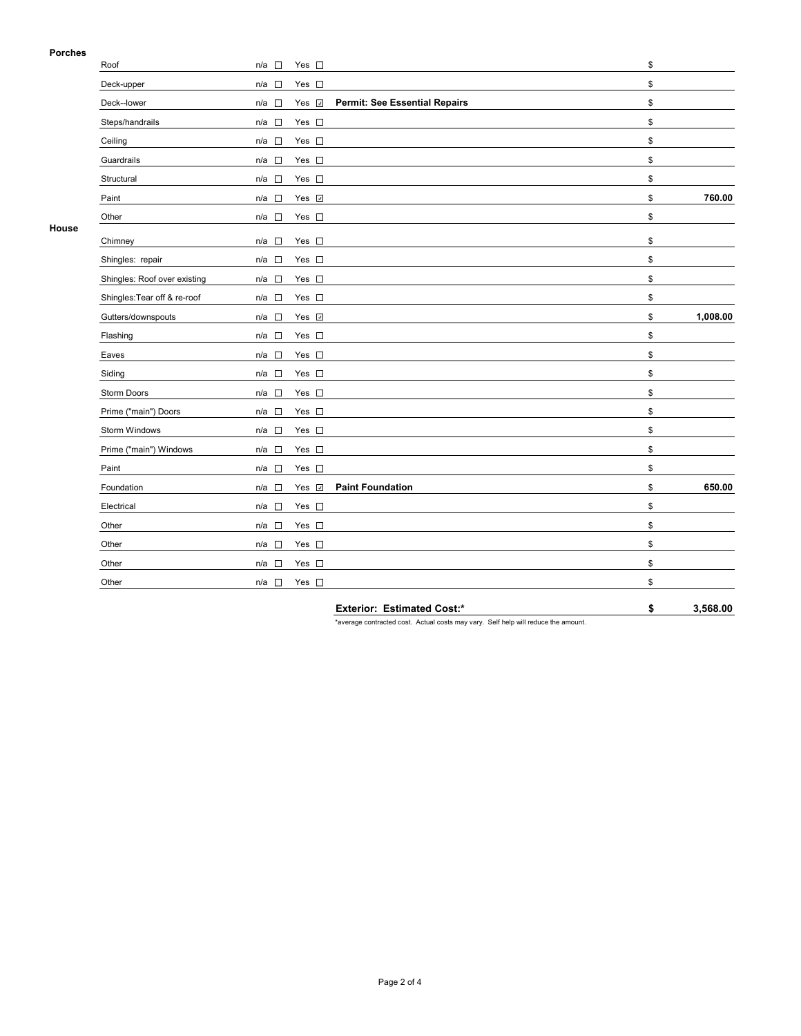## **Porches**

| Porcnes      |                              |                                                                  |                |
|--------------|------------------------------|------------------------------------------------------------------|----------------|
|              | Roof                         | n/a □<br>Yes $\square$                                           | \$             |
|              | Deck-upper                   | Yes $\square$<br>n/a □                                           | \$             |
|              | Deck--lower                  | <b>Permit: See Essential Repairs</b><br>Yes v<br>$n/a$ $\square$ | \$             |
|              | Steps/handrails              | $\mathbb{R}^n$<br>Yes $\square$<br>n/a                           | \$             |
|              | Ceiling                      | Yes $\square$<br>n/a<br>$\sim$                                   | \$             |
|              | Guardrails                   | Yes $\square$<br>$n/a$ $\Box$                                    | \$             |
|              | Structural                   | Yes $\square$<br>$n/a$ $\square$                                 | \$             |
|              | Paint                        | Yes 7<br>n/a<br>$\sim$                                           | 760.00<br>\$   |
|              | Other                        | Yes $\square$<br>n/a □                                           | \$             |
| <b>House</b> | Chimney                      | Yes $\square$<br>n/a □                                           | \$             |
|              | Shingles: repair             | Yes $\square$<br>$n/a$ $\square$                                 | \$             |
|              | Shingles: Roof over existing | Yes $\square$<br>$n/a$ $\Box$                                    | \$             |
|              | Shingles: Tear off & re-roof | $\overline{\phantom{a}}$<br>Yes $\square$<br>n/a                 | \$             |
|              | Gutters/downspouts           | Yes v<br>n/a<br>$\Box$                                           | 1,008.00<br>\$ |
|              | Flashing                     | $n/a$ $\square$<br>Yes $\square$                                 | \$             |
|              | Eaves                        | Yes $\square$<br>n/a $\square$                                   | \$             |
|              | Siding                       | Yes $\square$<br>n/a □                                           | \$             |
|              | Storm Doors                  | Yes $\square$<br>n/a □                                           | \$             |
|              | Prime ("main") Doors         | Yes $\square$<br>n/a<br>$\sim$                                   | \$             |
|              | Storm Windows                | Yes $\square$<br>n/a<br>$\sim$                                   | \$             |
|              | Prime ("main") Windows       | Yes $\square$<br>$n/a$ $\square$                                 | \$             |
|              | Paint                        | Yes $\square$<br>$n/a$ $\square$                                 | \$             |
|              | Foundation                   | <b>Paint Foundation</b><br>Yes ⊽<br>n/a □                        | 650.00<br>\$   |
|              | Electrical                   | Yes $\square$<br>$n/a$ $\square$                                 | \$             |
|              | Other                        | Yes $\square$<br>$n/a$ $\square$                                 | \$             |
|              | Other                        | Yes $\square$<br>n/a $\square$                                   | \$             |
|              | Other                        | Yes $\square$<br>$n/a$ $\Box$                                    | \$             |
|              | Other                        | $n/a$ $\square$<br>Yes $\square$                                 | \$             |

**Exterior: Estimated Cost:\* \$ 3,568.00**

\*average contracted cost. Actual costs may vary. Self help will reduce the amount.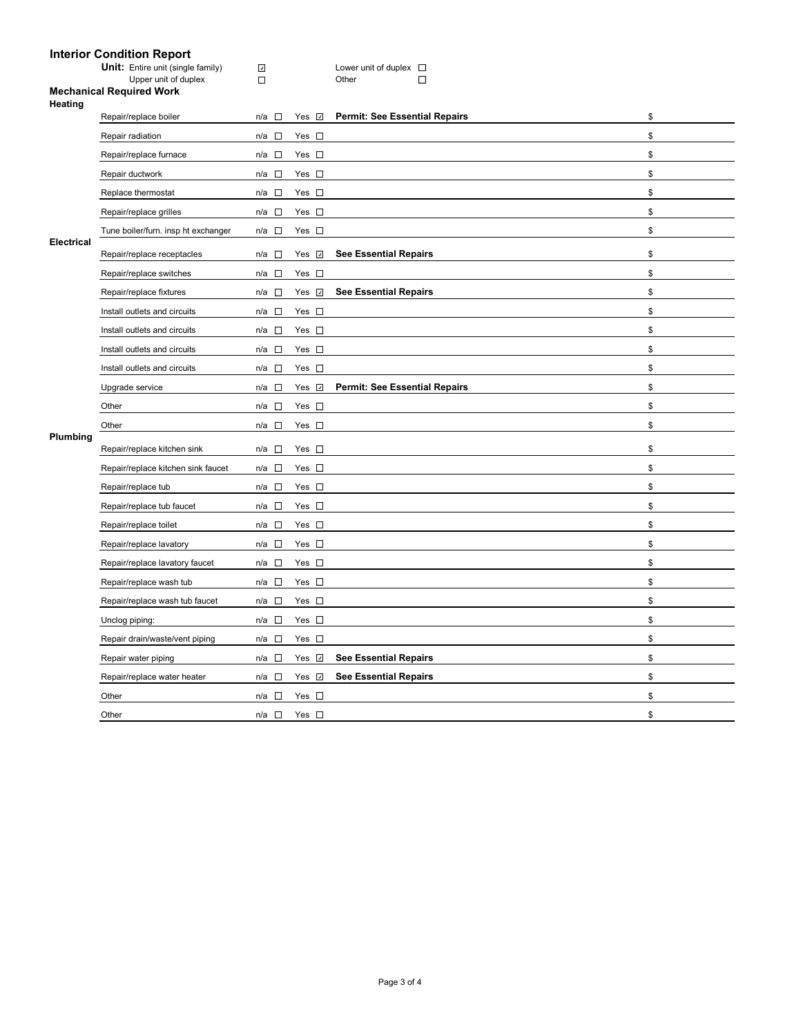## **Interior Condition Report**

Unit: Entire unit (single family) <u>Dougland and the Couver unit of duplex</u>

Upper unit of duplex Domestic Community Community Community Community Community Community Community Community

 $\mathcal{L}_{\mathcal{A}}$ 

#### **Mechanical Required Work Heating**

|            | Repair/replace boiler               | $n/a$ $\square$       | Yes <b>☑</b>   | <b>Permit: See Essential Repairs</b> | \$ |
|------------|-------------------------------------|-----------------------|----------------|--------------------------------------|----|
|            | Repair radiation                    | $n/a$ $\square$       | Yes $\square$  |                                      | \$ |
|            | Repair/replace furnace              | $n/a$ $\square$       | Yes $\square$  |                                      | \$ |
|            | Repair ductwork                     | $n/a$ $\square$       | Yes $\square$  |                                      | \$ |
|            | Replace thermostat                  | $n/a$ $\Box$          | Yes $\square$  |                                      | \$ |
|            | Repair/replace grilles              | $n/a$ $\square$       | Yes $\square$  |                                      | \$ |
|            | Tune boiler/furn. insp ht exchanger | $n/a$ $\Box$          | Yes $\square$  |                                      | \$ |
| Electrical | Repair/replace receptacles          | n/a $\square$         | Yes <b>☑</b>   | <b>See Essential Repairs</b>         | \$ |
|            | Repair/replace switches             | $n/a$ $\square$       | Yes $\square$  |                                      | \$ |
|            | Repair/replace fixtures             | $n/a$ $\square$       | Yes V          | <b>See Essential Repairs</b>         | \$ |
|            | Install outlets and circuits        | $n/a$ $\square$       | Yes $\square$  |                                      | \$ |
|            | Install outlets and circuits        | n/a $\square$         | Yes $\square$  |                                      | \$ |
|            | Install outlets and circuits        | $n/a$ $\Box$          | Yes $\square$  |                                      | \$ |
|            | Install outlets and circuits        | $n/a$ $\square$       | Yes $\square$  |                                      | \$ |
|            | Upgrade service                     | $n/a$ $\square$       | Yes <b>☑</b>   | <b>Permit: See Essential Repairs</b> | \$ |
|            | Other                               | $n/a$ $\square$       | Yes $\square$  |                                      | \$ |
|            | Other                               | n/a $\square$         | Yes $\square$  |                                      | \$ |
| Plumbing   | Repair/replace kitchen sink         | $n/a$ $\square$       | Yes $\square$  |                                      | \$ |
|            | Repair/replace kitchen sink faucet  | n/a $\square$         | Yes $\square$  |                                      | \$ |
|            | Repair/replace tub                  | $n/a$ $\square$       | Yes $\square$  |                                      | \$ |
|            | Repair/replace tub faucet           | $n/a$ $\Box$          | Yes $\square$  |                                      | \$ |
|            | Repair/replace toilet               | $n/a$ $\square$       | Yes $\square$  |                                      | \$ |
|            | Repair/replace lavatory             | $n/a$ $\square$       | Yes $\square$  |                                      | \$ |
|            | Repair/replace lavatory faucet      | $n/a$ $\square$       | Yes $\square$  |                                      | \$ |
|            | Repair/replace wash tub             | n/a $\square$         | Yes $\square$  |                                      | \$ |
|            | Repair/replace wash tub faucet      | n/a $\square$         | Yes $\square$  |                                      | \$ |
|            | Unclog piping:                      | $n/a$ $\square$       | Yes $\square$  |                                      | \$ |
|            | Repair drain/waste/vent piping      | $n/a$ $\square$       | Yes $\square$  |                                      | \$ |
|            | Repair water piping                 | n/a $\square$         | Yes $\sqrt{ }$ | <b>See Essential Repairs</b>         | \$ |
|            | Repair/replace water heater         | $n/a$ $\square$       | Yes <b>☑</b>   | <b>See Essential Repairs</b>         | \$ |
|            | Other                               | $\mathbb{R}^n$<br>n/a | Yes $\square$  |                                      | \$ |
|            | Other                               | $n/a$ $\square$       | Yes $\square$  |                                      | \$ |